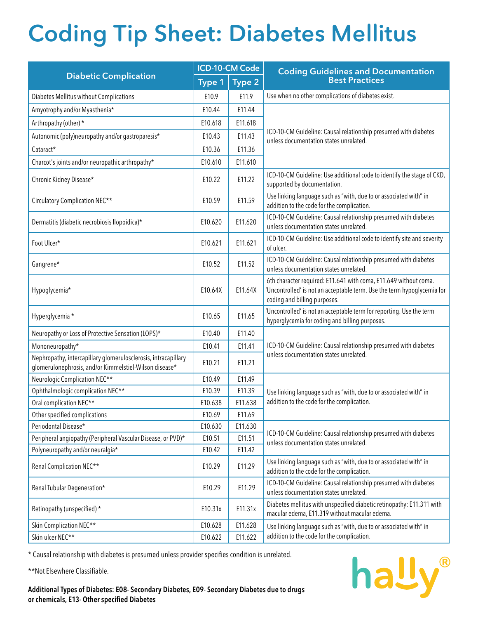## Coding Tip Sheet: Diabetes Mellitus

| <b>Diabetic Complication</b>                                                                                             | ICD-10-CM Code |               |                                                                                                                                                                             |
|--------------------------------------------------------------------------------------------------------------------------|----------------|---------------|-----------------------------------------------------------------------------------------------------------------------------------------------------------------------------|
|                                                                                                                          | <b>Type 1</b>  | <b>Type 2</b> | <b>Coding Guidelines and Documentation</b><br>Best Practices                                                                                                                |
| Diabetes Mellitus without Complications                                                                                  | E10.9          | E11.9         | Use when no other complications of diabetes exist.                                                                                                                          |
| Amyotrophy and/or Myasthenia*                                                                                            | E10.44         | E11.44        | ICD-10-CM Guideline: Causal relationship presumed with diabetes<br>unless documentation states unrelated.                                                                   |
| Arthropathy (other) *                                                                                                    | E10.618        | E11.618       |                                                                                                                                                                             |
| Autonomic (poly)neuropathy and/or gastroparesis*                                                                         | E10.43         | E11.43        |                                                                                                                                                                             |
| Cataract*                                                                                                                | E10.36         | E11.36        |                                                                                                                                                                             |
| Charcot's joints and/or neuropathic arthropathy*                                                                         | E10.610        | E11.610       |                                                                                                                                                                             |
| Chronic Kidney Disease*                                                                                                  | E10.22         | E11.22        | ICD-10-CM Guideline: Use additional code to identify the stage of CKD,<br>supported by documentation.                                                                       |
| Circulatory Complication NEC**                                                                                           | E10.59         | E11.59        | Use linking language such as "with, due to or associated with" in<br>addition to the code for the complication.                                                             |
| Dermatitis (diabetic necrobiosis llopoidica)*                                                                            | E10.620        | E11.620       | ICD-10-CM Guideline: Causal relationship presumed with diabetes<br>unless documentation states unrelated.                                                                   |
| Foot Ulcer*                                                                                                              | E10.621        | E11.621       | ICD-10-CM Guideline: Use additional code to identify site and severity<br>of ulcer.                                                                                         |
| Gangrene*                                                                                                                | E10.52         | E11.52        | ICD-10-CM Guideline: Causal relationship presumed with diabetes<br>unless documentation states unrelated.                                                                   |
| Hypoglycemia*                                                                                                            | E10.64X        | E11.64X       | 6th character required: E11.641 with coma, E11.649 without coma.<br>'Uncontrolled' is not an acceptable term. Use the term hypoglycemia for<br>coding and billing purposes. |
| Hyperglycemia *                                                                                                          | E10.65         | E11.65        | 'Uncontrolled' is not an acceptable term for reporting. Use the term<br>hyperglycemia for coding and billing purposes.                                                      |
| Neuropathy or Loss of Protective Sensation (LOPS)*                                                                       | E10.40         | E11.40        | ICD-10-CM Guideline: Causal relationship presumed with diabetes<br>unless documentation states unrelated.                                                                   |
| Mononeuropathy*                                                                                                          | E10.41         | E11.41        |                                                                                                                                                                             |
| Nephropathy, intercapillary glomerulosclerosis, intracapillary<br>glomerulonephrosis, and/or Kimmelstiel-Wilson disease* | E10.21         | E11.21        |                                                                                                                                                                             |
| Neurologic Complication NEC**                                                                                            | E10.49         | E11.49        | Use linking language such as "with, due to or associated with" in<br>addition to the code for the complication.                                                             |
| Ophthalmologic complication NEC**                                                                                        | E10.39         | E11.39        |                                                                                                                                                                             |
| Oral complication NEC**                                                                                                  | E10.638        | E11.638       |                                                                                                                                                                             |
| Other specified complications                                                                                            | E10.69         | E11.69        |                                                                                                                                                                             |
| Periodontal Disease*                                                                                                     | E10.630        | E11.630       | ICD-10-CM Guideline: Causal relationship presumed with diabetes<br>unless documentation states unrelated.                                                                   |
| Peripheral angiopathy (Peripheral Vascular Disease, or PVD)*                                                             | E10.51         | E11.51        |                                                                                                                                                                             |
| Polyneuropathy and/or neuralgia*                                                                                         | E10.42         | E11.42        |                                                                                                                                                                             |
| Renal Complication NEC**                                                                                                 | E10.29         | E11.29        | Use linking language such as "with, due to or associated with" in<br>addition to the code for the complication.                                                             |
| Renal Tubular Degeneration*                                                                                              | E10.29         | E11.29        | ICD-10-CM Guideline: Causal relationship presumed with diabetes<br>unless documentation states unrelated.                                                                   |
| Retinopathy (unspecified) *                                                                                              | E10.31x        | E11.31x       | Diabetes mellitus with unspecified diabetic retinopathy: E11.311 with<br>macular edema, E11.319 without macular edema.                                                      |
| Skin Complication NEC**                                                                                                  | E10.628        | E11.628       | Use linking language such as "with, due to or associated with" in<br>addition to the code for the complication.                                                             |
| Skin ulcer NEC**                                                                                                         | E10.622        | E11.622       |                                                                                                                                                                             |

\* Causal relationship with diabetes is presumed unless provider specifies condition is unrelated.

\*\*Not Elsewhere Classifiable.